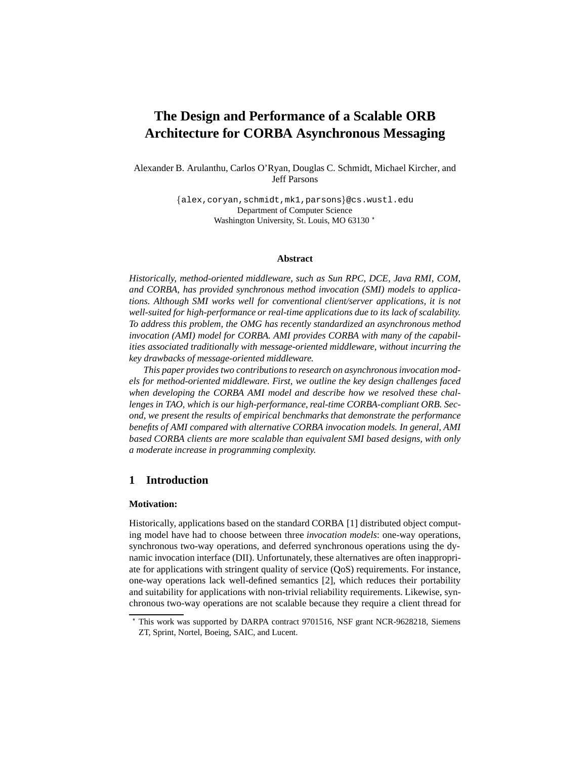# **The Design and Performance of a Scalable ORB Architecture for CORBA Asynchronous Messaging**

Alexander B. Arulanthu, Carlos O'Ryan, Douglas C. Schmidt, Michael Kircher, and Jeff Parsons

> {alex, coryan, schmidt, mk1, parsons}@cs.wustl.edu Department of Computer Science Washington University, St. Louis, MO 63130 \*

#### **Abstract**

*Historically, method-oriented middleware, such as Sun RPC, DCE, Java RMI, COM, and CORBA, has provided synchronous method invocation (SMI) models to applications. Although SMI works well for conventional client/server applications, it is not well-suited for high-performance or real-time applications due to its lack of scalability. To address this problem, the OMG has recently standardized an asynchronous method invocation (AMI) model for CORBA. AMI provides CORBA with many of the capabilities associated traditionally with message-oriented middleware, without incurring the key drawbacks of message-oriented middleware.*

*This paper provides two contributions to research on asynchronous invocation models for method-oriented middleware. First, we outline the key design challenges faced when developing the CORBA AMI model and describe how we resolved these challenges in TAO, which is our high-performance, real-time CORBA-compliant ORB. Second, we present the results of empirical benchmarks that demonstrate the performance benefits of AMI compared with alternative CORBA invocation models. In general, AMI based CORBA clients are more scalable than equivalent SMI based designs, with only a moderate increase in programming complexity.*

# **1 Introduction**

#### **Motivation:**

Historically, applications based on the standard CORBA [1] distributed object computing model have had to choose between three *invocation models*: one-way operations, synchronous two-way operations, and deferred synchronous operations using the dynamic invocation interface (DII). Unfortunately, these alternatives are often inappropriate for applications with stringent quality of service (QoS) requirements. For instance, one-way operations lack well-defined semantics [2], which reduces their portability and suitability for applications with non-trivial reliability requirements. Likewise, synchronous two-way operations are not scalable because they require a client thread for

<sup>?</sup> This work was supported by DARPA contract 9701516, NSF grant NCR-9628218, Siemens ZT, Sprint, Nortel, Boeing, SAIC, and Lucent.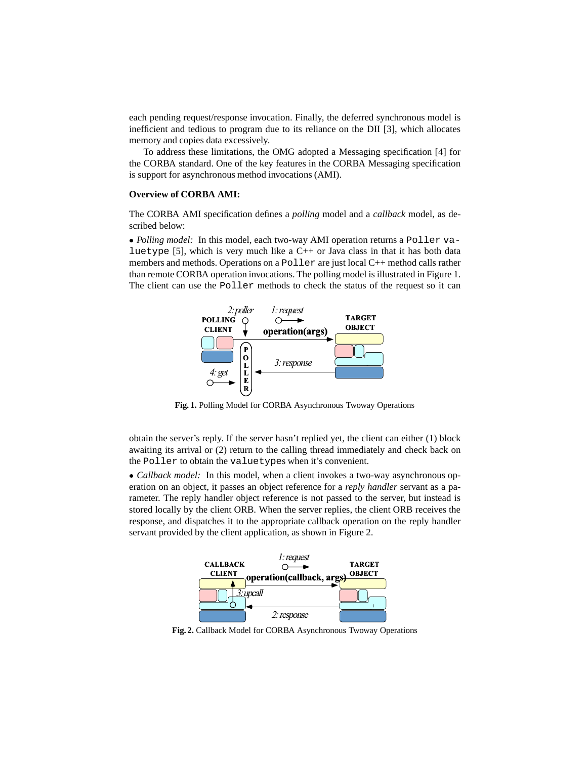each pending request/response invocation. Finally, the deferred synchronous model is inefficient and tedious to program due to its reliance on the DII [3], which allocates memory and copies data excessively.

To address these limitations, the OMG adopted a Messaging specification [4] for the CORBA standard. One of the key features in the CORBA Messaging specification is support for asynchronous method invocations (AMI).

# **Overview of CORBA AMI:**

The CORBA AMI specification defines a *polling* model and a *callback* model, as described below:

• *Polling model:* In this model, each two-way AMI operation returns a Poller valuetype [5], which is very much like a C++ or Java class in that it has both data members and methods. Operations on a Poller are just local C++ method calls rather than remote CORBA operation invocations. The polling model is illustrated in Figure 1. The client can use the Poller methods to check the status of the request so it can



**Fig. 1.** Polling Model for CORBA Asynchronous Twoway Operations

obtain the server's reply. If the server hasn't replied yet, the client can either (1) block awaiting its arrival or (2) return to the calling thread immediately and check back on the Poller to obtain the valuetypes when it's convenient.

 *Callback model:* In this model, when a client invokes a two-way asynchronous operation on an object, it passes an object reference for a *reply handler* servant as a parameter. The reply handler object reference is not passed to the server, but instead is stored locally by the client ORB. When the server replies, the client ORB receives the response, and dispatches it to the appropriate callback operation on the reply handler servant provided by the client application, as shown in Figure 2.



**Fig. 2.** Callback Model for CORBA Asynchronous Twoway Operations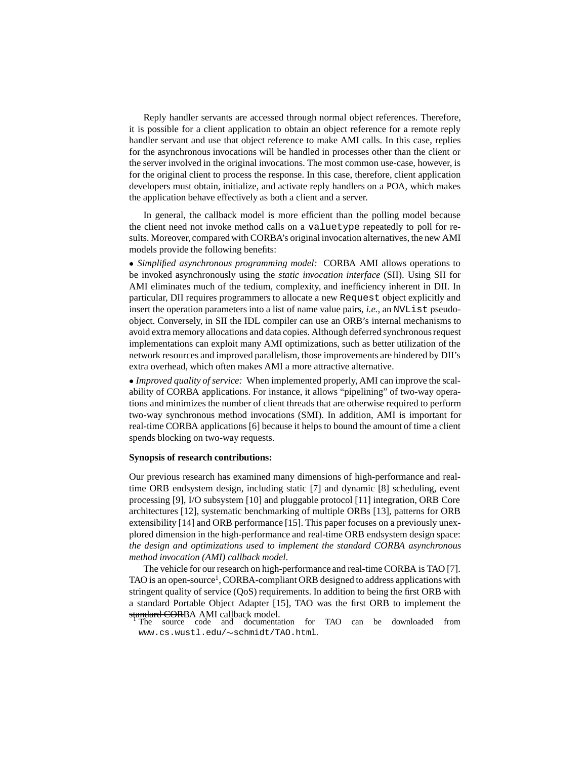Reply handler servants are accessed through normal object references. Therefore, it is possible for a client application to obtain an object reference for a remote reply handler servant and use that object reference to make AMI calls. In this case, replies for the asynchronous invocations will be handled in processes other than the client or the server involved in the original invocations. The most common use-case, however, is for the original client to process the response. In this case, therefore, client application developers must obtain, initialize, and activate reply handlers on a POA, which makes the application behave effectively as both a client and a server.

In general, the callback model is more efficient than the polling model because the client need not invoke method calls on a valuetype repeatedly to poll for results. Moreover, compared with CORBA's original invocation alternatives, the new AMI models provide the following benefits:

 *Simplified asynchronous programming model:* CORBA AMI allows operations to be invoked asynchronously using the *static invocation interface* (SII). Using SII for AMI eliminates much of the tedium, complexity, and inefficiency inherent in DII. In particular, DII requires programmers to allocate a new Request object explicitly and insert the operation parameters into a list of name value pairs, *i.e.*, an NVL ist pseudoobject. Conversely, in SII the IDL compiler can use an ORB's internal mechanisms to avoid extra memory allocations and data copies. Although deferred synchronous request implementations can exploit many AMI optimizations, such as better utilization of the network resources and improved parallelism, those improvements are hindered by DII's extra overhead, which often makes AMI a more attractive alternative.

 *Improved quality of service:* When implemented properly, AMI can improve the scalability of CORBA applications. For instance, it allows "pipelining" of two-way operations and minimizes the number of client threads that are otherwise required to perform two-way synchronous method invocations (SMI). In addition, AMI is important for real-time CORBA applications [6] because it helps to bound the amount of time a client spends blocking on two-way requests.

#### **Synopsis of research contributions:**

Our previous research has examined many dimensions of high-performance and realtime ORB endsystem design, including static [7] and dynamic [8] scheduling, event processing [9], I/O subsystem [10] and pluggable protocol [11] integration, ORB Core architectures [12], systematic benchmarking of multiple ORBs [13], patterns for ORB extensibility [14] and ORB performance [15]. This paper focuses on a previously unexplored dimension in the high-performance and real-time ORB endsystem design space: *the design and optimizations used to implement the standard CORBA asynchronous method invocation (AMI) callback model*.

The vehicle for our research on high-performance and real-time CORBA is TAO [7]. TAO is an open-source<sup>1</sup>, CORBA-compliant ORB designed to address applications with stringent quality of service (QoS) requirements. In addition to being the first ORB with a standard Portable Object Adapter [15], TAO was the first ORB to implement the standard CORBA AMI callback model.

The source code and documentation for TAO can be downloaded from www.cs.wustl.edu/~schmidt/TAO.html.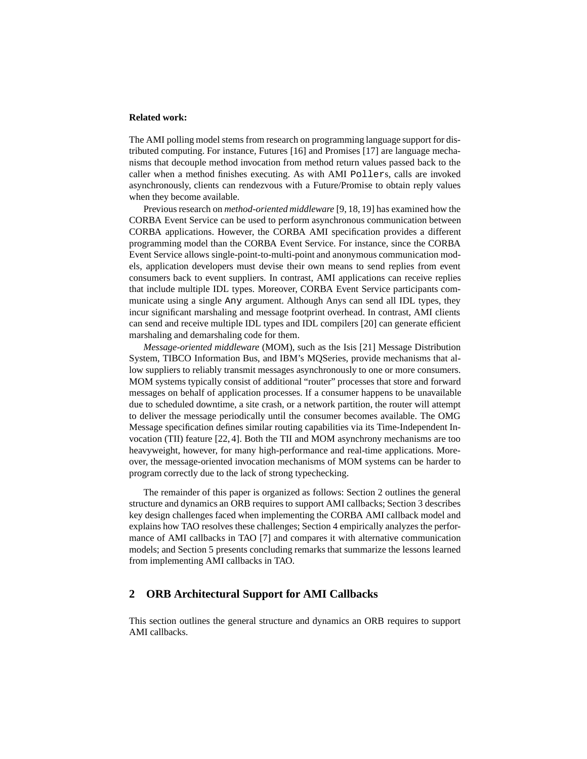#### **Related work:**

The AMI polling model stems from research on programming language support for distributed computing. For instance, Futures [16] and Promises [17] are language mechanisms that decouple method invocation from method return values passed back to the caller when a method finishes executing. As with AMI Pollers, calls are invoked asynchronously, clients can rendezvous with a Future/Promise to obtain reply values when they become available.

Previous research on *method-oriented middleware* [9, 18, 19] has examined how the CORBA Event Service can be used to perform asynchronous communication between CORBA applications. However, the CORBA AMI specification provides a different programming model than the CORBA Event Service. For instance, since the CORBA Event Service allows single-point-to-multi-point and anonymous communication models, application developers must devise their own means to send replies from event consumers back to event suppliers. In contrast, AMI applications can receive replies that include multiple IDL types. Moreover, CORBA Event Service participants communicate using a single Any argument. Although Anys can send all IDL types, they incur significant marshaling and message footprint overhead. In contrast, AMI clients can send and receive multiple IDL types and IDL compilers [20] can generate efficient marshaling and demarshaling code for them.

*Message-oriented middleware* (MOM), such as the Isis [21] Message Distribution System, TIBCO Information Bus, and IBM's MQSeries, provide mechanisms that allow suppliers to reliably transmit messages asynchronously to one or more consumers. MOM systems typically consist of additional "router" processes that store and forward messages on behalf of application processes. If a consumer happens to be unavailable due to scheduled downtime, a site crash, or a network partition, the router will attempt to deliver the message periodically until the consumer becomes available. The OMG Message specification defines similar routing capabilities via its Time-Independent Invocation (TII) feature [22, 4]. Both the TII and MOM asynchrony mechanisms are too heavyweight, however, for many high-performance and real-time applications. Moreover, the message-oriented invocation mechanisms of MOM systems can be harder to program correctly due to the lack of strong typechecking.

The remainder of this paper is organized as follows: Section 2 outlines the general structure and dynamics an ORB requires to support AMI callbacks; Section 3 describes key design challenges faced when implementing the CORBA AMI callback model and explains how TAO resolves these challenges; Section 4 empirically analyzes the performance of AMI callbacks in TAO [7] and compares it with alternative communication models; and Section 5 presents concluding remarks that summarize the lessons learned from implementing AMI callbacks in TAO.

# **2 ORB Architectural Support for AMI Callbacks**

This section outlines the general structure and dynamics an ORB requires to support AMI callbacks.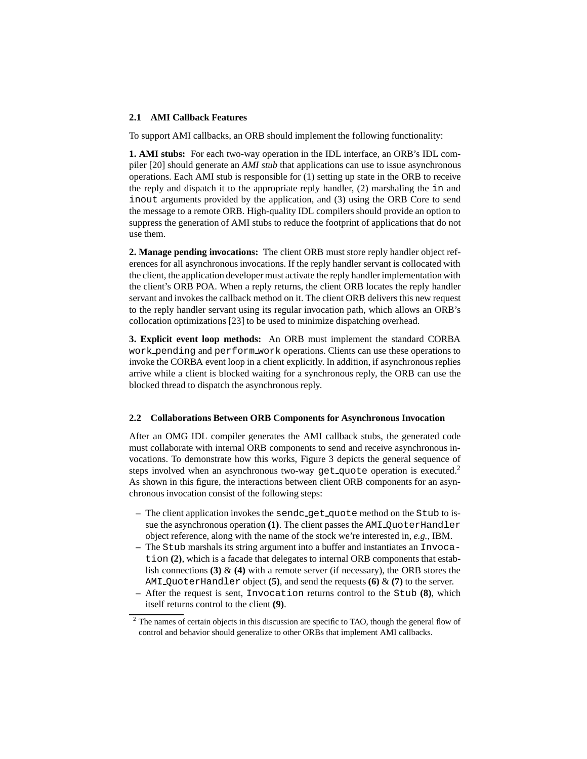#### **2.1 AMI Callback Features**

To support AMI callbacks, an ORB should implement the following functionality:

**1. AMI stubs:** For each two-way operation in the IDL interface, an ORB's IDL compiler [20] should generate an *AMI stub* that applications can use to issue asynchronous operations. Each AMI stub is responsible for (1) setting up state in the ORB to receive the reply and dispatch it to the appropriate reply handler, (2) marshaling the in and inout arguments provided by the application, and (3) using the ORB Core to send the message to a remote ORB. High-quality IDL compilers should provide an option to suppress the generation of AMI stubs to reduce the footprint of applications that do not use them.

**2. Manage pending invocations:** The client ORB must store reply handler object references for all asynchronous invocations. If the reply handler servant is collocated with the client, the application developer must activate the reply handler implementation with the client's ORB POA. When a reply returns, the client ORB locates the reply handler servant and invokes the callback method on it. The client ORB delivers this new request to the reply handler servant using its regular invocation path, which allows an ORB's collocation optimizations [23] to be used to minimize dispatching overhead.

**3. Explicit event loop methods:** An ORB must implement the standard CORBA work pending and perform work operations. Clients can use these operations to invoke the CORBA event loop in a client explicitly. In addition, if asynchronous replies arrive while a client is blocked waiting for a synchronous reply, the ORB can use the blocked thread to dispatch the asynchronous reply.

#### **2.2 Collaborations Between ORB Components for Asynchronous Invocation**

After an OMG IDL compiler generates the AMI callback stubs, the generated code must collaborate with internal ORB components to send and receive asynchronous invocations. To demonstrate how this works, Figure 3 depicts the general sequence of steps involved when an asynchronous two-way  $qet_q$ quote operation is executed.<sup>2</sup> As shown in this figure, the interactions between client ORB components for an asynchronous invocation consist of the following steps:

- **–** The client application invokes the sendc get quote method on the Stub to issue the asynchronous operation (1). The client passes the AMI<sub>-QuoterHandler</sub> object reference, along with the name of the stock we're interested in, *e.g.*, IBM.
- **–** The Stub marshals its string argument into a buffer and instantiates an Invocation **(2)**, which is a facade that delegates to internal ORB components that establish connections **(3)** & **(4)** with a remote server (if necessary), the ORB stores the AMI QuoterHandler object **(5)**, and send the requests **(6)** & **(7)** to the server.
- **–** After the request is sent, Invocation returns control to the Stub **(8)**, which itself returns control to the client **(9)**.

<sup>&</sup>lt;sup>2</sup> The names of certain objects in this discussion are specific to TAO, though the general flow of control and behavior should generalize to other ORBs that implement AMI callbacks.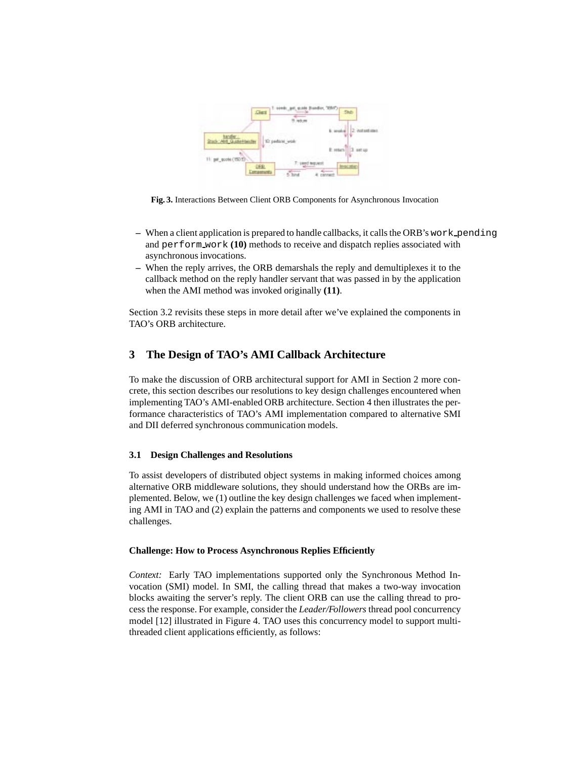

**Fig. 3.** Interactions Between Client ORB Components for Asynchronous Invocation

- **–** When a client application is prepared to handle callbacks, it calls the ORB's work pending and perform work **(10)** methods to receive and dispatch replies associated with asynchronous invocations.
- **–** When the reply arrives, the ORB demarshals the reply and demultiplexes it to the callback method on the reply handler servant that was passed in by the application when the AMI method was invoked originally **(11)**.

Section 3.2 revisits these steps in more detail after we've explained the components in TAO's ORB architecture.

# **3 The Design of TAO's AMI Callback Architecture**

To make the discussion of ORB architectural support for AMI in Section 2 more concrete, this section describes our resolutions to key design challenges encountered when implementing TAO's AMI-enabled ORB architecture. Section 4 then illustrates the performance characteristics of TAO's AMI implementation compared to alternative SMI and DII deferred synchronous communication models.

# **3.1 Design Challenges and Resolutions**

To assist developers of distributed object systems in making informed choices among alternative ORB middleware solutions, they should understand how the ORBs are implemented. Below, we (1) outline the key design challenges we faced when implementing AMI in TAO and (2) explain the patterns and components we used to resolve these challenges.

### **Challenge: How to Process Asynchronous Replies Efficiently**

*Context:* Early TAO implementations supported only the Synchronous Method Invocation (SMI) model. In SMI, the calling thread that makes a two-way invocation blocks awaiting the server's reply. The client ORB can use the calling thread to process the response. For example, consider the *Leader/Followers* thread pool concurrency model [12] illustrated in Figure 4. TAO uses this concurrency model to support multithreaded client applications efficiently, as follows: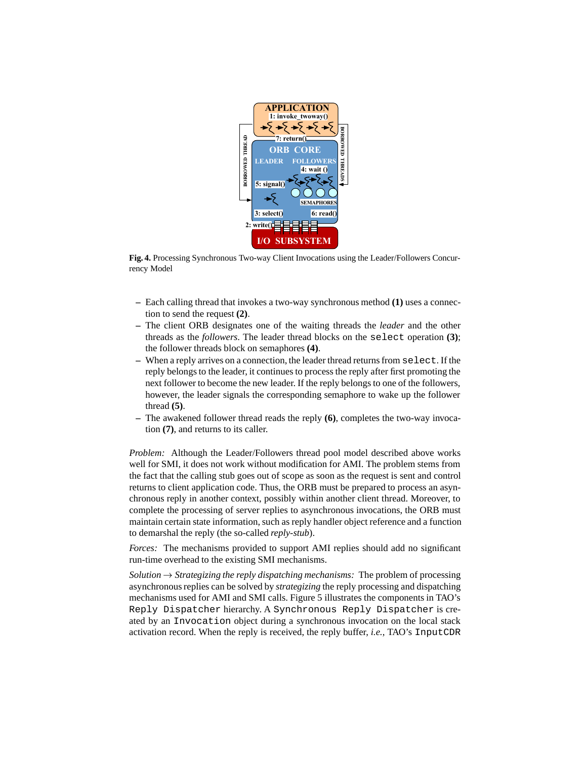

**Fig. 4.** Processing Synchronous Two-way Client Invocations using the Leader/Followers Concurrency Model

- **–** Each calling thread that invokes a two-way synchronous method **(1)** uses a connection to send the request **(2)**.
- **–** The client ORB designates one of the waiting threads the *leader* and the other threads as the *followers*. The leader thread blocks on the select operation **(3)**; the follower threads block on semaphores **(4)**.
- **–** When a reply arrives on a connection, the leader thread returns from select. If the reply belongs to the leader, it continues to process the reply after first promoting the next follower to become the new leader. If the reply belongs to one of the followers, however, the leader signals the corresponding semaphore to wake up the follower thread **(5)**.
- **–** The awakened follower thread reads the reply **(6)**, completes the two-way invocation **(7)**, and returns to its caller.

*Problem:* Although the Leader/Followers thread pool model described above works well for SMI, it does not work without modification for AMI. The problem stems from the fact that the calling stub goes out of scope as soon as the request is sent and control returns to client application code. Thus, the ORB must be prepared to process an asynchronous reply in another context, possibly within another client thread. Moreover, to complete the processing of server replies to asynchronous invocations, the ORB must maintain certain state information, such as reply handler object reference and a function to demarshal the reply (the so-called *reply-stub*).

*Forces:* The mechanisms provided to support AMI replies should add no significant run-time overhead to the existing SMI mechanisms.

*Solution*  $\rightarrow$  *Strategizing the reply dispatching mechanisms:* The problem of processing asynchronous replies can be solved by *strategizing* the reply processing and dispatching mechanisms used for AMI and SMI calls. Figure 5 illustrates the components in TAO's Reply Dispatcher hierarchy. A Synchronous Reply Dispatcher is created by an Invocation object during a synchronous invocation on the local stack activation record. When the reply is received, the reply buffer, *i.e.*, TAO's InputCDR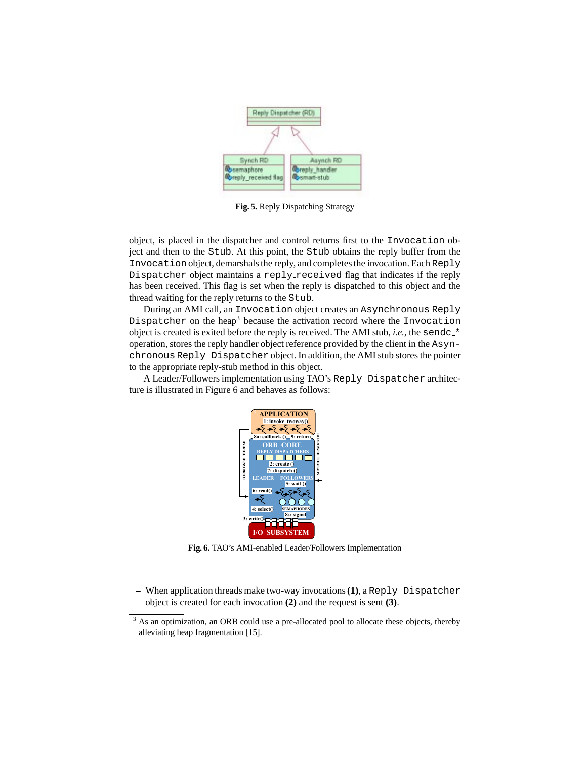

**Fig. 5.** Reply Dispatching Strategy

object, is placed in the dispatcher and control returns first to the Invocation object and then to the Stub. At this point, the Stub obtains the reply buffer from the Invocation object, demarshals the reply, and completes the invocation. Each Reply Dispatcher object maintains a reply received flag that indicates if the reply has been received. This flag is set when the reply is dispatched to this object and the thread waiting for the reply returns to the Stub.

During an AMI call, an Invocation object creates an Asynchronous Reply Dispatcher on the heap<sup>3</sup> because the activation record where the Invocation object is created is exited before the reply is received. The AMI stub, *i.e.*, the sendc\_\* operation, stores the reply handler object reference provided by the client in the Asynchronous Reply Dispatcher object. In addition, the AMI stub stores the pointer to the appropriate reply-stub method in this object.

A Leader/Followers implementation using TAO's Reply Dispatcher architecture is illustrated in Figure 6 and behaves as follows:



**Fig. 6.** TAO's AMI-enabled Leader/Followers Implementation

**–** When application threads make two-way invocations**(1)**, a Reply Dispatcher object is created for each invocation **(2)** and the request is sent **(3)**.

<sup>&</sup>lt;sup>3</sup> As an optimization, an ORB could use a pre-allocated pool to allocate these objects, thereby alleviating heap fragmentation [15].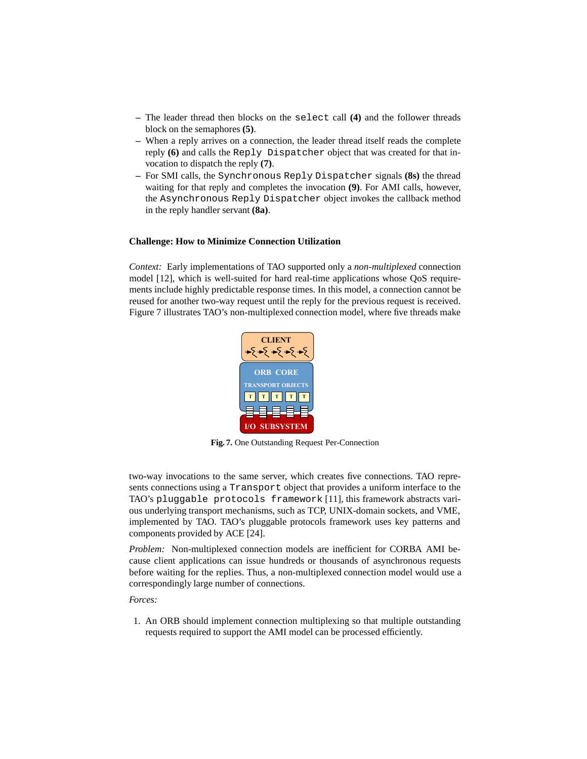- **–** The leader thread then blocks on the select call **(4)** and the follower threads block on the semaphores **(5)**.
- **–** When a reply arrives on a connection, the leader thread itself reads the complete reply **(6)** and calls the Reply Dispatcher object that was created for that invocation to dispatch the reply **(7)**.
- **–** For SMI calls, the Synchronous Reply Dispatcher signals **(8s)** the thread waiting for that reply and completes the invocation **(9)**. For AMI calls, however, the Asynchronous Reply Dispatcher object invokes the callback method in the reply handler servant **(8a)**.

#### **Challenge: How to Minimize Connection Utilization**

*Context:* Early implementations of TAO supported only a *non-multiplexed* connection model [12], which is well-suited for hard real-time applications whose QoS requirements include highly predictable response times. In this model, a connection cannot be reused for another two-way request until the reply for the previous request is received. Figure 7 illustrates TAO's non-multiplexed connection model, where five threads make



**Fig. 7.** One Outstanding Request Per-Connection

two-way invocations to the same server, which creates five connections. TAO represents connections using a Transport object that provides a uniform interface to the TAO's pluggable protocols framework [11], this framework abstracts various underlying transport mechanisms, such as TCP, UNIX-domain sockets, and VME, implemented by TAO. TAO's pluggable protocols framework uses key patterns and components provided by ACE [24].

*Problem:* Non-multiplexed connection models are inefficient for CORBA AMI because client applications can issue hundreds or thousands of asynchronous requests before waiting for the replies. Thus, a non-multiplexed connection model would use a correspondingly large number of connections.

#### *Forces:*

1. An ORB should implement connection multiplexing so that multiple outstanding requests required to support the AMI model can be processed efficiently.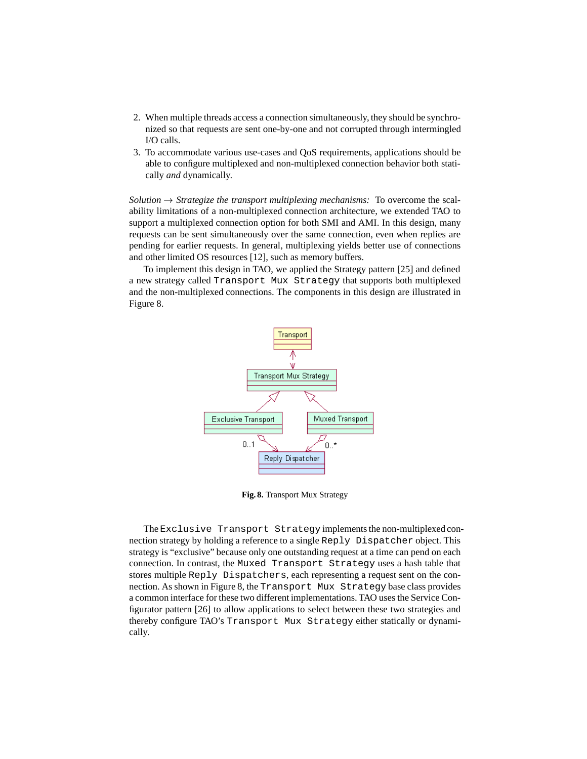- 2. When multiple threads access a connection simultaneously, they should be synchronized so that requests are sent one-by-one and not corrupted through intermingled I/O calls.
- 3. To accommodate various use-cases and QoS requirements, applications should be able to configure multiplexed and non-multiplexed connection behavior both statically *and* dynamically.

*Solution*  $\rightarrow$  *Strategize the transport multiplexing mechanisms:* To overcome the scalability limitations of a non-multiplexed connection architecture, we extended TAO to support a multiplexed connection option for both SMI and AMI. In this design, many requests can be sent simultaneously over the same connection, even when replies are pending for earlier requests. In general, multiplexing yields better use of connections and other limited OS resources [12], such as memory buffers.

To implement this design in TAO, we applied the Strategy pattern [25] and defined a new strategy called Transport Mux Strategy that supports both multiplexed and the non-multiplexed connections. The components in this design are illustrated in Figure 8.



**Fig. 8.** Transport Mux Strategy

The Exclusive Transport Strategy implements the non-multiplexed connection strategy by holding a reference to a single Reply Dispatcher object. This strategy is "exclusive" because only one outstanding request at a time can pend on each connection. In contrast, the Muxed Transport Strategy uses a hash table that stores multiple Reply Dispatchers, each representing a request sent on the connection. As shown in Figure 8, the Transport Mux Strategy base class provides a common interface for these two different implementations. TAO uses the Service Configurator pattern [26] to allow applications to select between these two strategies and thereby configure TAO's Transport Mux Strategy either statically or dynamically.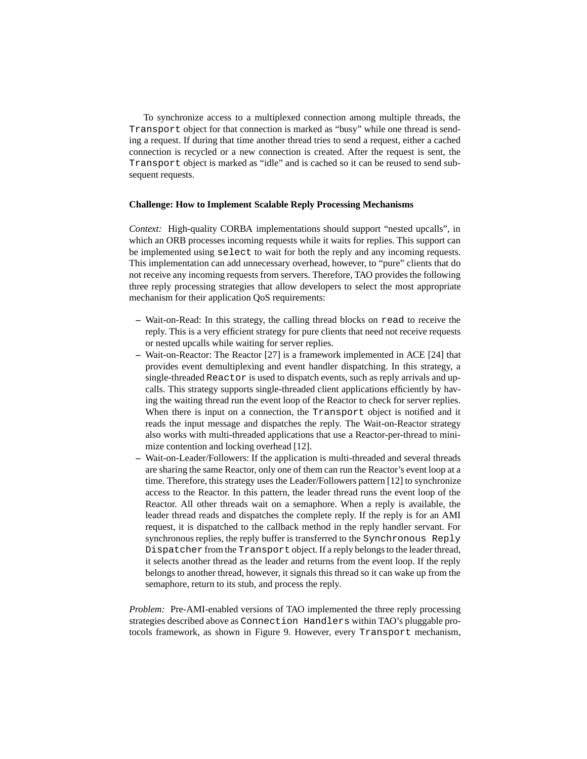To synchronize access to a multiplexed connection among multiple threads, the Transport object for that connection is marked as "busy" while one thread is sending a request. If during that time another thread tries to send a request, either a cached connection is recycled or a new connection is created. After the request is sent, the Transport object is marked as "idle" and is cached so it can be reused to send subsequent requests.

#### **Challenge: How to Implement Scalable Reply Processing Mechanisms**

*Context:* High-quality CORBA implementations should support "nested upcalls", in which an ORB processes incoming requests while it waits for replies. This support can be implemented using select to wait for both the reply and any incoming requests. This implementation can add unnecessary overhead, however, to "pure" clients that do not receive any incoming requests from servers. Therefore, TAO provides the following three reply processing strategies that allow developers to select the most appropriate mechanism for their application QoS requirements:

- **–** Wait-on-Read: In this strategy, the calling thread blocks on read to receive the reply. This is a very efficient strategy for pure clients that need not receive requests or nested upcalls while waiting for server replies.
- **–** Wait-on-Reactor: The Reactor [27] is a framework implemented in ACE [24] that provides event demultiplexing and event handler dispatching. In this strategy, a single-threaded Reactor is used to dispatch events, such as reply arrivals and upcalls. This strategy supports single-threaded client applications efficiently by having the waiting thread run the event loop of the Reactor to check for server replies. When there is input on a connection, the Transport object is notified and it reads the input message and dispatches the reply. The Wait-on-Reactor strategy also works with multi-threaded applications that use a Reactor-per-thread to minimize contention and locking overhead [12].
- **–** Wait-on-Leader/Followers: If the application is multi-threaded and several threads are sharing the same Reactor, only one of them can run the Reactor's event loop at a time. Therefore, this strategy uses the Leader/Followers pattern [12] to synchronize access to the Reactor. In this pattern, the leader thread runs the event loop of the Reactor. All other threads wait on a semaphore. When a reply is available, the leader thread reads and dispatches the complete reply. If the reply is for an AMI request, it is dispatched to the callback method in the reply handler servant. For synchronous replies, the reply buffer is transferred to the Synchronous Reply Dispatcher from the Transport object. If a reply belongs to the leader thread, it selects another thread as the leader and returns from the event loop. If the reply belongs to another thread, however, it signals this thread so it can wake up from the semaphore, return to its stub, and process the reply.

*Problem:* Pre-AMI-enabled versions of TAO implemented the three reply processing strategies described above as Connection Handlers within TAO's pluggable protocols framework, as shown in Figure 9. However, every Transport mechanism,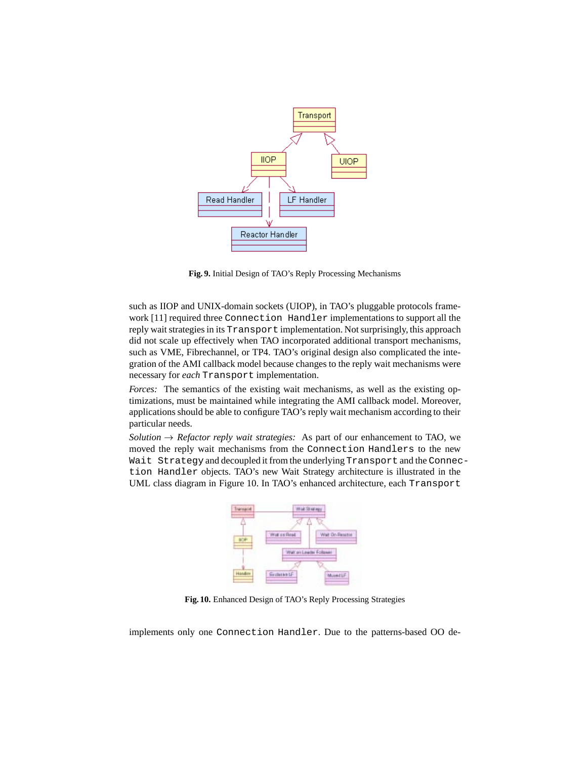

**Fig. 9.** Initial Design of TAO's Reply Processing Mechanisms

such as IIOP and UNIX-domain sockets (UIOP), in TAO's pluggable protocols framework [11] required three Connection Handler implementations to support all the reply wait strategies in its Transport implementation. Not surprisingly, this approach did not scale up effectively when TAO incorporated additional transport mechanisms, such as VME, Fibrechannel, or TP4. TAO's original design also complicated the integration of the AMI callback model because changes to the reply wait mechanisms were necessary for *each* Transport implementation.

*Forces:* The semantics of the existing wait mechanisms, as well as the existing optimizations, must be maintained while integrating the AMI callback model. Moreover, applications should be able to configure TAO's reply wait mechanism according to their particular needs.

*Solution*  $\rightarrow$  *Refactor reply wait strategies:* As part of our enhancement to TAO, we moved the reply wait mechanisms from the Connection Handlers to the new Wait Strategy and decoupled it from the underlying Transport and the Connection Handler objects. TAO's new Wait Strategy architecture is illustrated in the UML class diagram in Figure 10. In TAO's enhanced architecture, each Transport



**Fig. 10.** Enhanced Design of TAO's Reply Processing Strategies

implements only one Connection Handler. Due to the patterns-based OO de-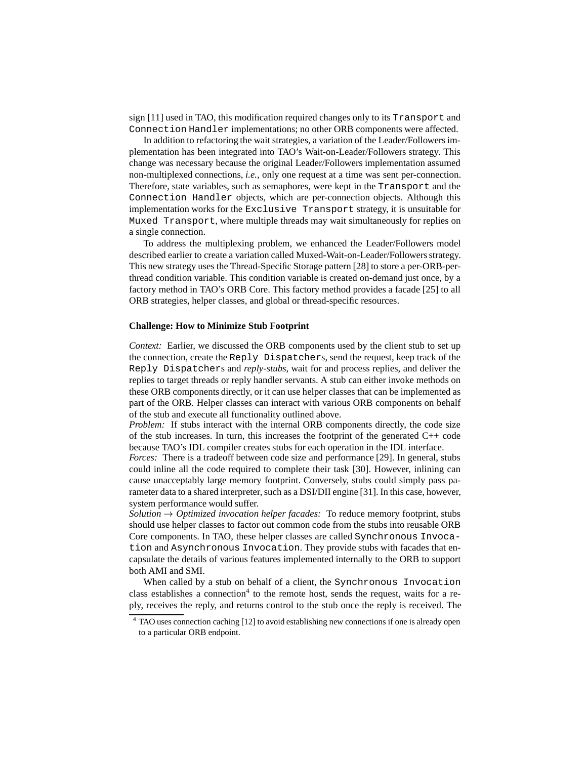sign [11] used in TAO, this modification required changes only to its Transport and Connection Handler implementations; no other ORB components were affected.

In addition to refactoring the wait strategies, a variation of the Leader/Followers implementation has been integrated into TAO's Wait-on-Leader/Followers strategy. This change was necessary because the original Leader/Followers implementation assumed non-multiplexed connections, *i.e.*, only one request at a time was sent per-connection. Therefore, state variables, such as semaphores, were kept in the Transport and the Connection Handler objects, which are per-connection objects. Although this implementation works for the Exclusive Transport strategy, it is unsuitable for Muxed Transport, where multiple threads may wait simultaneously for replies on a single connection.

To address the multiplexing problem, we enhanced the Leader/Followers model described earlier to create a variation called Muxed-Wait-on-Leader/Followers strategy. This new strategy uses the Thread-Specific Storage pattern [28] to store a per-ORB-perthread condition variable. This condition variable is created on-demand just once, by a factory method in TAO's ORB Core. This factory method provides a facade [25] to all ORB strategies, helper classes, and global or thread-specific resources.

#### **Challenge: How to Minimize Stub Footprint**

*Context:* Earlier, we discussed the ORB components used by the client stub to set up the connection, create the Reply Dispatchers, send the request, keep track of the Reply Dispatchers and *reply-stubs*, wait for and process replies, and deliver the replies to target threads or reply handler servants. A stub can either invoke methods on these ORB components directly, or it can use helper classes that can be implemented as part of the ORB. Helper classes can interact with various ORB components on behalf of the stub and execute all functionality outlined above.

*Problem:* If stubs interact with the internal ORB components directly, the code size of the stub increases. In turn, this increases the footprint of the generated  $C++$  code because TAO's IDL compiler creates stubs for each operation in the IDL interface.

*Forces:* There is a tradeoff between code size and performance [29]. In general, stubs could inline all the code required to complete their task [30]. However, inlining can cause unacceptably large memory footprint. Conversely, stubs could simply pass parameter data to a shared interpreter, such as a DSI/DII engine [31]. In this case, however, system performance would suffer.

*Solution*  $\rightarrow$  *Optimized invocation helper facades:* To reduce memory footprint, stubs should use helper classes to factor out common code from the stubs into reusable ORB Core components. In TAO, these helper classes are called Synchronous Invocation and Asynchronous Invocation. They provide stubs with facades that encapsulate the details of various features implemented internally to the ORB to support both AMI and SMI.

When called by a stub on behalf of a client, the Synchronous Invocation class establishes a connection<sup>4</sup> to the remote host, sends the request, waits for a reply, receives the reply, and returns control to the stub once the reply is received. The

<sup>&</sup>lt;sup>4</sup> TAO uses connection caching [12] to avoid establishing new connections if one is already open to a particular ORB endpoint.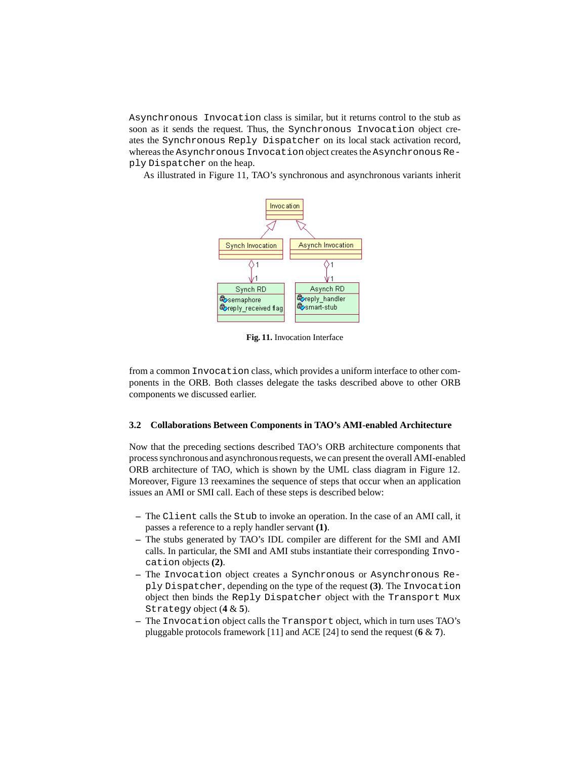Asynchronous Invocation class is similar, but it returns control to the stub as soon as it sends the request. Thus, the Synchronous Invocation object creates the Synchronous Reply Dispatcher on its local stack activation record, whereas the Asynchronous Invocation object creates the Asynchronous Reply Dispatcher on the heap.

As illustrated in Figure 11, TAO's synchronous and asynchronous variants inherit



**Fig. 11.** Invocation Interface

from a common Invocation class, which provides a uniform interface to other components in the ORB. Both classes delegate the tasks described above to other ORB components we discussed earlier.

# **3.2 Collaborations Between Components in TAO's AMI-enabled Architecture**

Now that the preceding sections described TAO's ORB architecture components that process synchronous and asynchronous requests, we can present the overall AMI-enabled ORB architecture of TAO, which is shown by the UML class diagram in Figure 12. Moreover, Figure 13 reexamines the sequence of steps that occur when an application issues an AMI or SMI call. Each of these steps is described below:

- **–** The Client calls the Stub to invoke an operation. In the case of an AMI call, it passes a reference to a reply handler servant **(1)**.
- **–** The stubs generated by TAO's IDL compiler are different for the SMI and AMI calls. In particular, the SMI and AMI stubs instantiate their corresponding Invocation objects **(2)**.
- **–** The Invocation object creates a Synchronous or Asynchronous Reply Dispatcher, depending on the type of the request **(3)**. The Invocation object then binds the Reply Dispatcher object with the Transport Mux Strategy object (**4** & **5**).
- **–** The Invocation object calls the Transport object, which in turn uses TAO's pluggable protocols framework [11] and ACE [24] to send the request (**6** & **7**).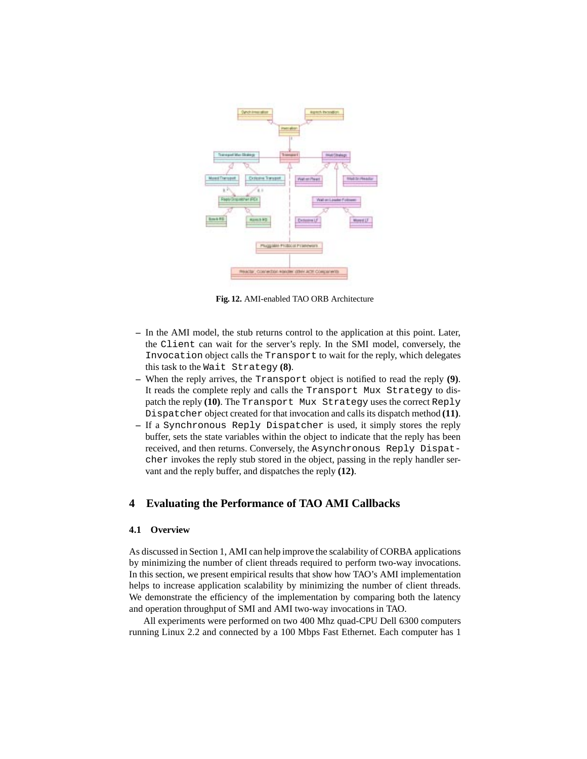

**Fig. 12.** AMI-enabled TAO ORB Architecture

- **–** In the AMI model, the stub returns control to the application at this point. Later, the Client can wait for the server's reply. In the SMI model, conversely, the Invocation object calls the Transport to wait for the reply, which delegates this task to the Wait Strategy **(8)**.
- **–** When the reply arrives, the Transport object is notified to read the reply **(9)**. It reads the complete reply and calls the Transport Mux Strategy to dispatch the reply **(10)**. The Transport Mux Strategy uses the correct Reply Dispatcher object created for that invocation and calls its dispatch method **(11)**.
- **–** If a Synchronous Reply Dispatcher is used, it simply stores the reply buffer, sets the state variables within the object to indicate that the reply has been received, and then returns. Conversely, the Asynchronous Reply Dispatcher invokes the reply stub stored in the object, passing in the reply handler servant and the reply buffer, and dispatches the reply **(12)**.

# **4 Evaluating the Performance of TAO AMI Callbacks**

#### **4.1 Overview**

As discussed in Section 1, AMI can help improve the scalability of CORBA applications by minimizing the number of client threads required to perform two-way invocations. In this section, we present empirical results that show how TAO's AMI implementation helps to increase application scalability by minimizing the number of client threads. We demonstrate the efficiency of the implementation by comparing both the latency and operation throughput of SMI and AMI two-way invocations in TAO.

All experiments were performed on two 400 Mhz quad-CPU Dell 6300 computers running Linux 2.2 and connected by a 100 Mbps Fast Ethernet. Each computer has 1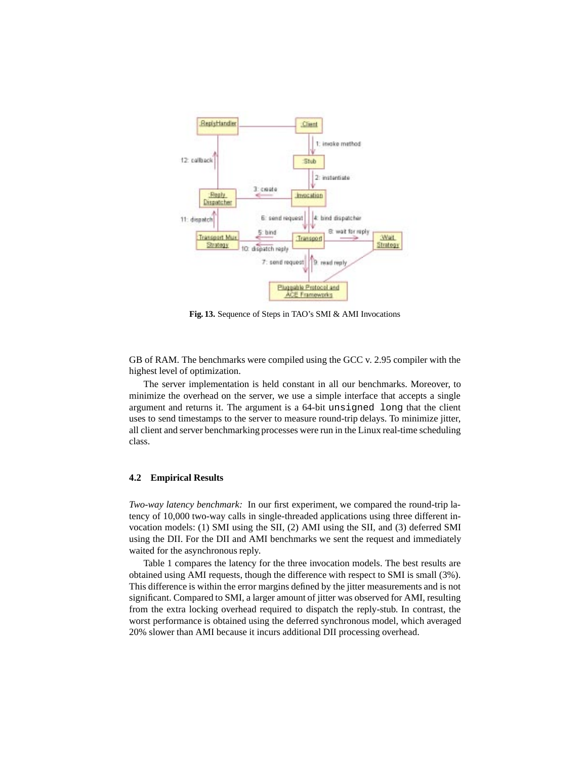

**Fig. 13.** Sequence of Steps in TAO's SMI & AMI Invocations

GB of RAM. The benchmarks were compiled using the GCC v. 2.95 compiler with the highest level of optimization.

The server implementation is held constant in all our benchmarks. Moreover, to minimize the overhead on the server, we use a simple interface that accepts a single argument and returns it. The argument is a 64-bit unsigned long that the client uses to send timestamps to the server to measure round-trip delays. To minimize jitter, all client and server benchmarking processes were run in the Linux real-time scheduling class.

#### **4.2 Empirical Results**

*Two-way latency benchmark:* In our first experiment, we compared the round-trip latency of 10,000 two-way calls in single-threaded applications using three different invocation models: (1) SMI using the SII, (2) AMI using the SII, and (3) deferred SMI using the DII. For the DII and AMI benchmarks we sent the request and immediately waited for the asynchronous reply.

Table 1 compares the latency for the three invocation models. The best results are obtained using AMI requests, though the difference with respect to SMI is small (3%). This difference is within the error margins defined by the jitter measurements and is not significant. Compared to SMI, a larger amount of jitter was observed for AMI, resulting from the extra locking overhead required to dispatch the reply-stub. In contrast, the worst performance is obtained using the deferred synchronous model, which averaged 20% slower than AMI because it incurs additional DII processing overhead.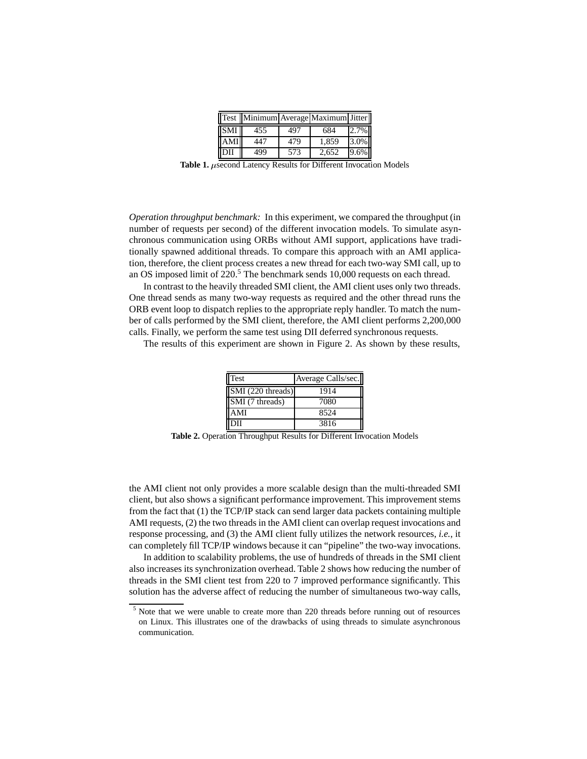|            |     |     | Test Minimum Average Maximum Jitter |      |
|------------|-----|-----|-------------------------------------|------|
| <b>SMI</b> | 455 | 497 | 684                                 | 2.7% |
| AM         | 447 | 479 | 1.859                               | 3.0% |
| DII        | 499 | 573 | 2.652                               | 9.6% |

Table 1. *usecond Latency Results for Different Invocation Models* 

*Operation throughput benchmark:* In this experiment, we compared the throughput (in number of requests per second) of the different invocation models. To simulate asynchronous communication using ORBs without AMI support, applications have traditionally spawned additional threads. To compare this approach with an AMI application, therefore, the client process creates a new thread for each two-way SMI call, up to an OS imposed limit of  $220<sup>5</sup>$ . The benchmark sends 10,000 requests on each thread.

In contrast to the heavily threaded SMI client, the AMI client uses only two threads. One thread sends as many two-way requests as required and the other thread runs the ORB event loop to dispatch replies to the appropriate reply handler. To match the number of calls performed by the SMI client, therefore, the AMI client performs 2,200,000 calls. Finally, we perform the same test using DII deferred synchronous requests.

The results of this experiment are shown in Figure 2. As shown by these results,

| Test                                | Average Calls/sec. |  |
|-------------------------------------|--------------------|--|
| SMI (220 threads)                   | 1914               |  |
| $\overline{\text{SMI}}$ (7 threads) | 7080               |  |
| AMI                                 | 8524               |  |
| DII                                 | 3816               |  |

**Table 2.** Operation Throughput Results for Different Invocation Models

the AMI client not only provides a more scalable design than the multi-threaded SMI client, but also shows a significant performance improvement. This improvement stems from the fact that (1) the TCP/IP stack can send larger data packets containing multiple AMI requests, (2) the two threads in the AMI client can overlap request invocations and response processing, and (3) the AMI client fully utilizes the network resources, *i.e.*, it can completely fill TCP/IP windows because it can "pipeline" the two-way invocations.

In addition to scalability problems, the use of hundreds of threads in the SMI client also increases its synchronization overhead. Table 2 shows how reducing the number of threads in the SMI client test from 220 to 7 improved performance significantly. This solution has the adverse affect of reducing the number of simultaneous two-way calls,

<sup>5</sup> Note that we were unable to create more than 220 threads before running out of resources on Linux. This illustrates one of the drawbacks of using threads to simulate asynchronous communication.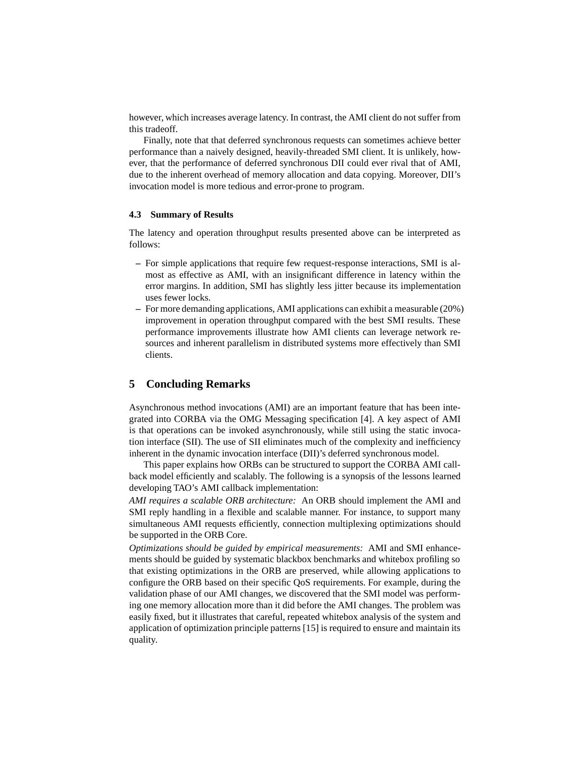however, which increases average latency. In contrast, the AMI client do not suffer from this tradeoff.

Finally, note that that deferred synchronous requests can sometimes achieve better performance than a naively designed, heavily-threaded SMI client. It is unlikely, however, that the performance of deferred synchronous DII could ever rival that of AMI, due to the inherent overhead of memory allocation and data copying. Moreover, DII's invocation model is more tedious and error-prone to program.

#### **4.3 Summary of Results**

The latency and operation throughput results presented above can be interpreted as follows:

- **–** For simple applications that require few request-response interactions, SMI is almost as effective as AMI, with an insignificant difference in latency within the error margins. In addition, SMI has slightly less jitter because its implementation uses fewer locks.
- **–** For more demanding applications, AMI applications can exhibit a measurable (20%) improvement in operation throughput compared with the best SMI results. These performance improvements illustrate how AMI clients can leverage network resources and inherent parallelism in distributed systems more effectively than SMI clients.

# **5 Concluding Remarks**

Asynchronous method invocations (AMI) are an important feature that has been integrated into CORBA via the OMG Messaging specification [4]. A key aspect of AMI is that operations can be invoked asynchronously, while still using the static invocation interface (SII). The use of SII eliminates much of the complexity and inefficiency inherent in the dynamic invocation interface (DII)'s deferred synchronous model.

This paper explains how ORBs can be structured to support the CORBA AMI callback model efficiently and scalably. The following is a synopsis of the lessons learned developing TAO's AMI callback implementation:

*AMI requires a scalable ORB architecture:* An ORB should implement the AMI and SMI reply handling in a flexible and scalable manner. For instance, to support many simultaneous AMI requests efficiently, connection multiplexing optimizations should be supported in the ORB Core.

*Optimizations should be guided by empirical measurements:* AMI and SMI enhancements should be guided by systematic blackbox benchmarks and whitebox profiling so that existing optimizations in the ORB are preserved, while allowing applications to configure the ORB based on their specific QoS requirements. For example, during the validation phase of our AMI changes, we discovered that the SMI model was performing one memory allocation more than it did before the AMI changes. The problem was easily fixed, but it illustrates that careful, repeated whitebox analysis of the system and application of optimization principle patterns [15] is required to ensure and maintain its quality.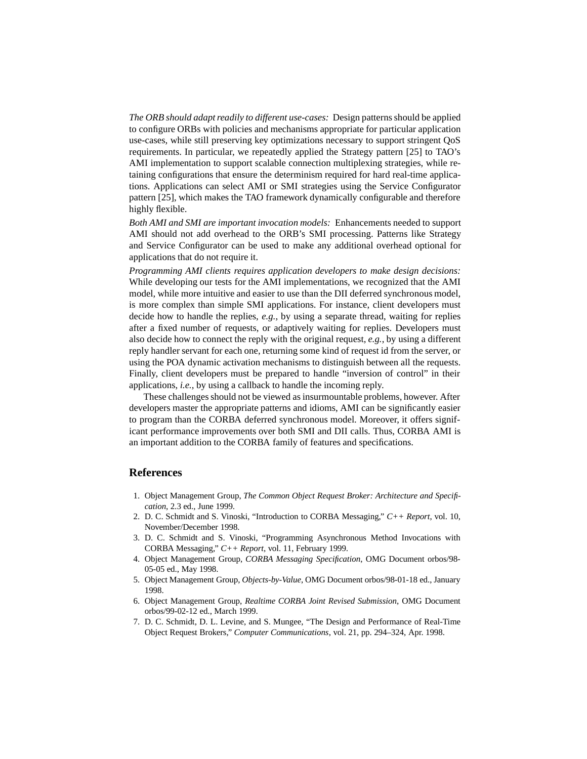*The ORB should adapt readily to different use-cases:* Design patterns should be applied to configure ORBs with policies and mechanisms appropriate for particular application use-cases, while still preserving key optimizations necessary to support stringent QoS requirements. In particular, we repeatedly applied the Strategy pattern [25] to TAO's AMI implementation to support scalable connection multiplexing strategies, while retaining configurations that ensure the determinism required for hard real-time applications. Applications can select AMI or SMI strategies using the Service Configurator pattern [25], which makes the TAO framework dynamically configurable and therefore highly flexible.

*Both AMI and SMI are important invocation models:* Enhancements needed to support AMI should not add overhead to the ORB's SMI processing. Patterns like Strategy and Service Configurator can be used to make any additional overhead optional for applications that do not require it.

*Programming AMI clients requires application developers to make design decisions:* While developing our tests for the AMI implementations, we recognized that the AMI model, while more intuitive and easier to use than the DII deferred synchronous model, is more complex than simple SMI applications. For instance, client developers must decide how to handle the replies, *e.g.*, by using a separate thread, waiting for replies after a fixed number of requests, or adaptively waiting for replies. Developers must also decide how to connect the reply with the original request, *e.g.*, by using a different reply handler servant for each one, returning some kind of request id from the server, or using the POA dynamic activation mechanisms to distinguish between all the requests. Finally, client developers must be prepared to handle "inversion of control" in their applications, *i.e.*, by using a callback to handle the incoming reply.

These challenges should not be viewed as insurmountable problems, however. After developers master the appropriate patterns and idioms, AMI can be significantly easier to program than the CORBA deferred synchronous model. Moreover, it offers significant performance improvements over both SMI and DII calls. Thus, CORBA AMI is an important addition to the CORBA family of features and specifications.

## **References**

- 1. Object Management Group, *The Common Object Request Broker: Architecture and Specification*, 2.3 ed., June 1999.
- 2. D. C. Schmidt and S. Vinoski, "Introduction to CORBA Messaging," *C++ Report*, vol. 10, November/December 1998.
- 3. D. C. Schmidt and S. Vinoski, "Programming Asynchronous Method Invocations with CORBA Messaging," *C++ Report*, vol. 11, February 1999.
- 4. Object Management Group, *CORBA Messaging Specification*, OMG Document orbos/98- 05-05 ed., May 1998.
- 5. Object Management Group, *Objects-by-Value*, OMG Document orbos/98-01-18 ed., January 1998.
- 6. Object Management Group, *Realtime CORBA Joint Revised Submission*, OMG Document orbos/99-02-12 ed., March 1999.
- 7. D. C. Schmidt, D. L. Levine, and S. Mungee, "The Design and Performance of Real-Time Object Request Brokers," *Computer Communications*, vol. 21, pp. 294–324, Apr. 1998.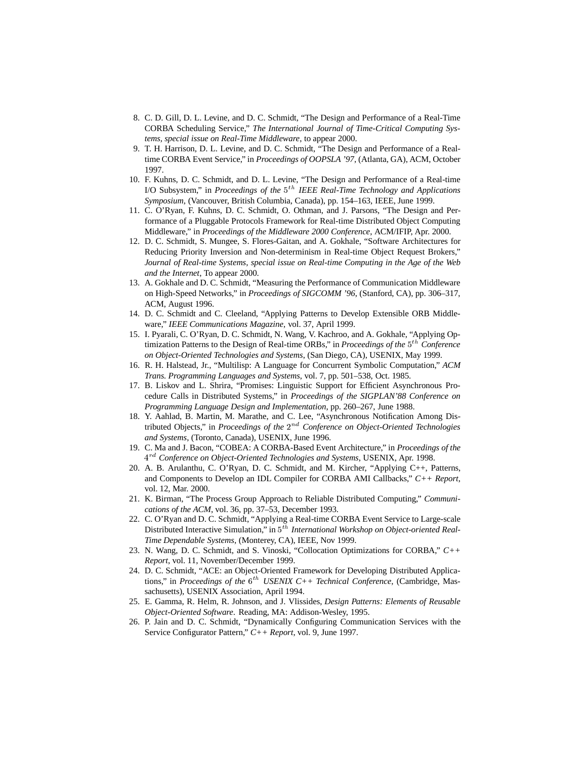- 8. C. D. Gill, D. L. Levine, and D. C. Schmidt, "The Design and Performance of a Real-Time CORBA Scheduling Service," *The International Journal of Time-Critical Computing Systems, special issue on Real-Time Middleware*, to appear 2000.
- 9. T. H. Harrison, D. L. Levine, and D. C. Schmidt, "The Design and Performance of a Realtime CORBA Event Service," in *Proceedings of OOPSLA '97*, (Atlanta, GA), ACM, October 1997.
- 10. F. Kuhns, D. C. Schmidt, and D. L. Levine, "The Design and Performance of a Real-time I/O Subsystem," in *Proceedings of the*  $5^{th}$  *IEEE Real-Time Technology and Applications Symposium*, (Vancouver, British Columbia, Canada), pp. 154–163, IEEE, June 1999.
- 11. C. O'Ryan, F. Kuhns, D. C. Schmidt, O. Othman, and J. Parsons, "The Design and Performance of a Pluggable Protocols Framework for Real-time Distributed Object Computing Middleware," in *Proceedings of the Middleware 2000 Conference*, ACM/IFIP, Apr. 2000.
- 12. D. C. Schmidt, S. Mungee, S. Flores-Gaitan, and A. Gokhale, "Software Architectures for Reducing Priority Inversion and Non-determinism in Real-time Object Request Brokers," *Journal of Real-time Systems, special issue on Real-time Computing in the Age of the Web and the Internet*, To appear 2000.
- 13. A. Gokhale and D. C. Schmidt, "Measuring the Performance of Communication Middleware on High-Speed Networks," in *Proceedings of SIGCOMM '96*, (Stanford, CA), pp. 306–317, ACM, August 1996.
- 14. D. C. Schmidt and C. Cleeland, "Applying Patterns to Develop Extensible ORB Middleware," *IEEE Communications Magazine*, vol. 37, April 1999.
- 15. I. Pyarali, C. O'Ryan, D. C. Schmidt, N. Wang, V. Kachroo, and A. Gokhale, "Applying Optimization Patterns to the Design of Real-time ORBs," in *Proceedings of the* <sup>5</sup> th *Conference on Object-Oriented Technologies and Systems*, (San Diego, CA), USENIX, May 1999.
- 16. R. H. Halstead, Jr., "Multilisp: A Language for Concurrent Symbolic Computation," *ACM Trans. Programming Languages and Systems*, vol. 7, pp. 501–538, Oct. 1985.
- 17. B. Liskov and L. Shrira, "Promises: Linguistic Support for Efficient Asynchronous Procedure Calls in Distributed Systems," in *Proceedings of the SIGPLAN'88 Conference on Programming Language Design and Implementation*, pp. 260–267, June 1988.
- 18. Y. Aahlad, B. Martin, M. Marathe, and C. Lee, "Asynchronous Notification Among Distributed Objects," in *Proceedings of the*  $2^{nd}$  *Conference on Object-Oriented Technologies and Systems*, (Toronto, Canada), USENIX, June 1996.
- 19. C. Ma and J. Bacon, "COBEA: A CORBA-Based Event Architecture," in *Proceedings of the*  $4^{rd}$  Conference on Object-Oriented Technologies and Systems, USENIX, Apr. 1998.
- 20. A. B. Arulanthu, C. O'Ryan, D. C. Schmidt, and M. Kircher, "Applying C++, Patterns, and Components to Develop an IDL Compiler for CORBA AMI Callbacks," *C++ Report*, vol. 12, Mar. 2000.
- 21. K. Birman, "The Process Group Approach to Reliable Distributed Computing," *Communications of the ACM*, vol. 36, pp. 37–53, December 1993.
- 22. C. O'Ryan and D. C. Schmidt, "Applying a Real-time CORBA Event Service to Large-scale Distributed Interactive Simulation," in 5<sup>th</sup> *International Workshop on Object-oriented Real-Time Dependable Systems*, (Monterey, CA), IEEE, Nov 1999.
- 23. N. Wang, D. C. Schmidt, and S. Vinoski, "Collocation Optimizations for CORBA," *C++ Report*, vol. 11, November/December 1999.
- 24. D. C. Schmidt, "ACE: an Object-Oriented Framework for Developing Distributed Applications," in *Proceedings of the*  $6^{th}$  *USENIX C++ Technical Conference*, (Cambridge, Massachusetts), USENIX Association, April 1994.
- 25. E. Gamma, R. Helm, R. Johnson, and J. Vlissides, *Design Patterns: Elements of Reusable Object-Oriented Software*. Reading, MA: Addison-Wesley, 1995.
- 26. P. Jain and D. C. Schmidt, "Dynamically Configuring Communication Services with the Service Configurator Pattern," *C++ Report*, vol. 9, June 1997.